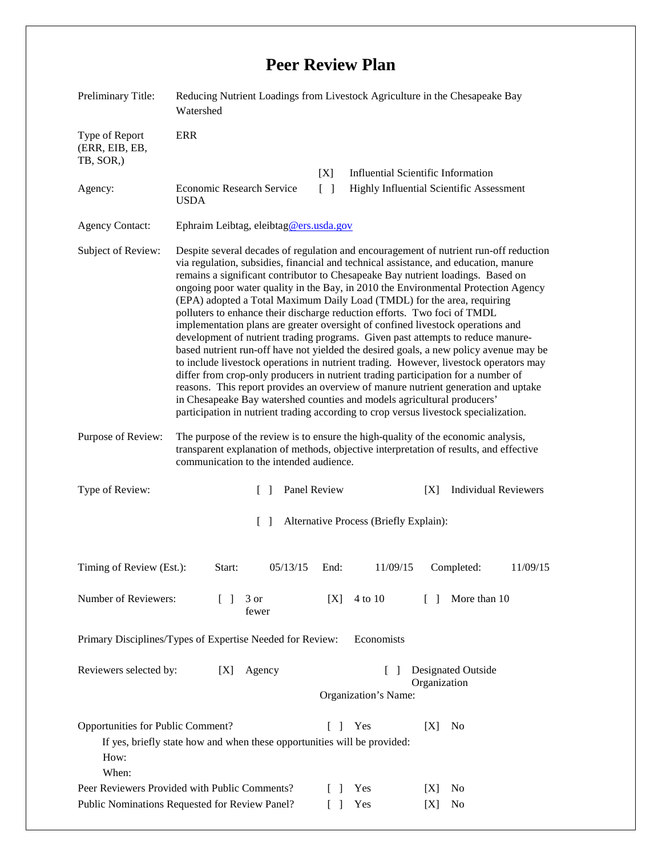## **Peer Review Plan**

| <b>ERR</b><br>Type of Report<br>(ERR, EIB, EB,<br>TB, SOR,)<br><b>Influential Scientific Information</b><br>[X]<br>Economic Research Service<br>$\lceil \rceil$<br>Agency:<br><b>Highly Influential Scientific Assessment</b><br><b>USDA</b><br><b>Agency Contact:</b><br>Ephraim Leibtag, eleibtag@ers.usda.gov<br>Despite several decades of regulation and encouragement of nutrient run-off reduction<br>Subject of Review:<br>via regulation, subsidies, financial and technical assistance, and education, manure<br>remains a significant contributor to Chesapeake Bay nutrient loadings. Based on<br>ongoing poor water quality in the Bay, in 2010 the Environmental Protection Agency<br>(EPA) adopted a Total Maximum Daily Load (TMDL) for the area, requiring<br>polluters to enhance their discharge reduction efforts. Two foci of TMDL<br>implementation plans are greater oversight of confined livestock operations and<br>development of nutrient trading programs. Given past attempts to reduce manure-<br>based nutrient run-off have not yielded the desired goals, a new policy avenue may be<br>to include livestock operations in nutrient trading. However, livestock operators may<br>differ from crop-only producers in nutrient trading participation for a number of<br>reasons. This report provides an overview of manure nutrient generation and uptake<br>in Chesapeake Bay watershed counties and models agricultural producers'<br>participation in nutrient trading according to crop versus livestock specialization.<br>Purpose of Review:<br>The purpose of the review is to ensure the high-quality of the economic analysis,<br>transparent explanation of methods, objective interpretation of results, and effective<br>communication to the intended audience. |
|---------------------------------------------------------------------------------------------------------------------------------------------------------------------------------------------------------------------------------------------------------------------------------------------------------------------------------------------------------------------------------------------------------------------------------------------------------------------------------------------------------------------------------------------------------------------------------------------------------------------------------------------------------------------------------------------------------------------------------------------------------------------------------------------------------------------------------------------------------------------------------------------------------------------------------------------------------------------------------------------------------------------------------------------------------------------------------------------------------------------------------------------------------------------------------------------------------------------------------------------------------------------------------------------------------------------------------------------------------------------------------------------------------------------------------------------------------------------------------------------------------------------------------------------------------------------------------------------------------------------------------------------------------------------------------------------------------------------------------------------------------------------------------------------------------------|
|                                                                                                                                                                                                                                                                                                                                                                                                                                                                                                                                                                                                                                                                                                                                                                                                                                                                                                                                                                                                                                                                                                                                                                                                                                                                                                                                                                                                                                                                                                                                                                                                                                                                                                                                                                                                               |
|                                                                                                                                                                                                                                                                                                                                                                                                                                                                                                                                                                                                                                                                                                                                                                                                                                                                                                                                                                                                                                                                                                                                                                                                                                                                                                                                                                                                                                                                                                                                                                                                                                                                                                                                                                                                               |
|                                                                                                                                                                                                                                                                                                                                                                                                                                                                                                                                                                                                                                                                                                                                                                                                                                                                                                                                                                                                                                                                                                                                                                                                                                                                                                                                                                                                                                                                                                                                                                                                                                                                                                                                                                                                               |
|                                                                                                                                                                                                                                                                                                                                                                                                                                                                                                                                                                                                                                                                                                                                                                                                                                                                                                                                                                                                                                                                                                                                                                                                                                                                                                                                                                                                                                                                                                                                                                                                                                                                                                                                                                                                               |
|                                                                                                                                                                                                                                                                                                                                                                                                                                                                                                                                                                                                                                                                                                                                                                                                                                                                                                                                                                                                                                                                                                                                                                                                                                                                                                                                                                                                                                                                                                                                                                                                                                                                                                                                                                                                               |
|                                                                                                                                                                                                                                                                                                                                                                                                                                                                                                                                                                                                                                                                                                                                                                                                                                                                                                                                                                                                                                                                                                                                                                                                                                                                                                                                                                                                                                                                                                                                                                                                                                                                                                                                                                                                               |
| Type of Review:<br>Panel Review<br><b>Individual Reviewers</b><br>[X]<br>$\Box$                                                                                                                                                                                                                                                                                                                                                                                                                                                                                                                                                                                                                                                                                                                                                                                                                                                                                                                                                                                                                                                                                                                                                                                                                                                                                                                                                                                                                                                                                                                                                                                                                                                                                                                               |
| Alternative Process (Briefly Explain):<br>$\Box$                                                                                                                                                                                                                                                                                                                                                                                                                                                                                                                                                                                                                                                                                                                                                                                                                                                                                                                                                                                                                                                                                                                                                                                                                                                                                                                                                                                                                                                                                                                                                                                                                                                                                                                                                              |
| Timing of Review (Est.):<br>$05/13/15$ End:<br>$11/09/15$ Completed:<br>11/09/15<br>Start:                                                                                                                                                                                                                                                                                                                                                                                                                                                                                                                                                                                                                                                                                                                                                                                                                                                                                                                                                                                                                                                                                                                                                                                                                                                                                                                                                                                                                                                                                                                                                                                                                                                                                                                    |
| Number of Reviewers:<br>More than 10<br>3 or<br>[X]<br>4 to 10<br>$\Box$<br>$\perp$<br>fewer                                                                                                                                                                                                                                                                                                                                                                                                                                                                                                                                                                                                                                                                                                                                                                                                                                                                                                                                                                                                                                                                                                                                                                                                                                                                                                                                                                                                                                                                                                                                                                                                                                                                                                                  |
| Primary Disciplines/Types of Expertise Needed for Review:<br>Economists                                                                                                                                                                                                                                                                                                                                                                                                                                                                                                                                                                                                                                                                                                                                                                                                                                                                                                                                                                                                                                                                                                                                                                                                                                                                                                                                                                                                                                                                                                                                                                                                                                                                                                                                       |
| Reviewers selected by:<br>Agency<br>Designated Outside<br>[X]<br>Organization<br>Organization's Name:                                                                                                                                                                                                                                                                                                                                                                                                                                                                                                                                                                                                                                                                                                                                                                                                                                                                                                                                                                                                                                                                                                                                                                                                                                                                                                                                                                                                                                                                                                                                                                                                                                                                                                         |
| Opportunities for Public Comment?<br>$\Box$<br>Yes<br>[X]<br>N <sub>0</sub><br>If yes, briefly state how and when these opportunities will be provided:<br>How:<br>When:                                                                                                                                                                                                                                                                                                                                                                                                                                                                                                                                                                                                                                                                                                                                                                                                                                                                                                                                                                                                                                                                                                                                                                                                                                                                                                                                                                                                                                                                                                                                                                                                                                      |
| Peer Reviewers Provided with Public Comments?<br>- 1<br>Yes<br>N <sub>0</sub><br> X <br>Public Nominations Requested for Review Panel?<br>Yes<br>No<br>$\Box$<br>[X]                                                                                                                                                                                                                                                                                                                                                                                                                                                                                                                                                                                                                                                                                                                                                                                                                                                                                                                                                                                                                                                                                                                                                                                                                                                                                                                                                                                                                                                                                                                                                                                                                                          |